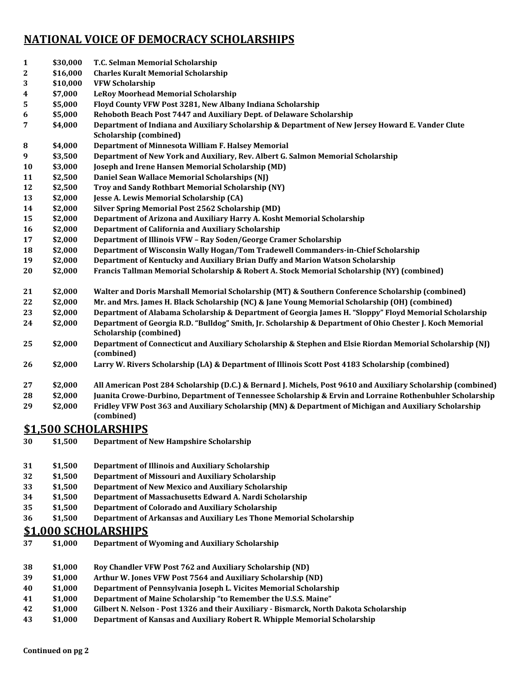## **NATIONAL VOICE OF DEMOCRACY SCHOLARSHIPS**

| 1  | \$30,000 | T.C. Selman Memorial Scholarship                                                                                                           |
|----|----------|--------------------------------------------------------------------------------------------------------------------------------------------|
| 2  | \$16,000 | <b>Charles Kuralt Memorial Scholarship</b>                                                                                                 |
| 3  | \$10,000 | <b>VFW Scholarship</b>                                                                                                                     |
| 4  | \$7,000  | <b>LeRoy Moorhead Memorial Scholarship</b>                                                                                                 |
| 5  | \$5,000  | Floyd County VFW Post 3281, New Albany Indiana Scholarship                                                                                 |
| 6  | \$5,000  | Rehoboth Beach Post 7447 and Auxiliary Dept. of Delaware Scholarship                                                                       |
| 7  | \$4,000  | Department of Indiana and Auxiliary Scholarship & Department of New Jersey Howard E. Vander Clute<br><b>Scholarship (combined)</b>         |
| 8  | \$4,000  | Department of Minnesota William F. Halsey Memorial                                                                                         |
| 9  | \$3,500  | Department of New York and Auxiliary, Rev. Albert G. Salmon Memorial Scholarship                                                           |
| 10 | \$3,000  | Joseph and Irene Hansen Memorial Scholarship (MD)                                                                                          |
| 11 | \$2,500  | Daniel Sean Wallace Memorial Scholarships (NJ)                                                                                             |
| 12 | \$2,500  | Troy and Sandy Rothbart Memorial Scholarship (NY)                                                                                          |
| 13 | \$2,000  | Jesse A. Lewis Memorial Scholarship (CA)                                                                                                   |
| 14 | \$2,000  | <b>Silver Spring Memorial Post 2562 Scholarship (MD)</b>                                                                                   |
| 15 | \$2,000  | Department of Arizona and Auxiliary Harry A. Kosht Memorial Scholarship                                                                    |
| 16 | \$2,000  | Department of California and Auxiliary Scholarship                                                                                         |
| 17 | \$2,000  | Department of Illinois VFW - Ray Soden/George Cramer Scholarship                                                                           |
| 18 | \$2,000  | Department of Wisconsin Wally Hogan/Tom Tradewell Commanders-in-Chief Scholarship                                                          |
| 19 | \$2,000  | Department of Kentucky and Auxiliary Brian Duffy and Marion Watson Scholarship                                                             |
| 20 | \$2,000  | Francis Tallman Memorial Scholarship & Robert A. Stock Memorial Scholarship (NY) (combined)                                                |
| 21 | \$2,000  | Walter and Doris Marshall Memorial Scholarship (MT) & Southern Conference Scholarship (combined)                                           |
| 22 | \$2,000  | Mr. and Mrs. James H. Black Scholarship (NC) & Jane Young Memorial Scholarship (OH) (combined)                                             |
| 23 | \$2,000  | Department of Alabama Scholarship & Department of Georgia James H. "Sloppy" Floyd Memorial Scholarship                                     |
| 24 | \$2,000  | Department of Georgia R.D. "Bulldog" Smith, Jr. Scholarship & Department of Ohio Chester J. Koch Memorial<br><b>Scholarship (combined)</b> |
| 25 | \$2,000  | Department of Connecticut and Auxiliary Scholarship & Stephen and Elsie Riordan Memorial Scholarship (NJ)<br>(combined)                    |
| 26 | \$2,000  | Larry W. Rivers Scholarship (LA) & Department of Illinois Scott Post 4183 Scholarship (combined)                                           |
| 27 | \$2,000  | All American Post 284 Scholarship (D.C.) & Bernard J. Michels, Post 9610 and Auxiliary Scholarship (combined)                              |
| 28 | \$2,000  | Juanita Crowe-Durbino, Department of Tennessee Scholarship & Ervin and Lorraine Rothenbuhler Scholarship                                   |
| 29 | \$2,000  | Fridley VFW Post 363 and Auxiliary Scholarship (MN) & Department of Michigan and Auxiliary Scholarship<br>(combined)                       |
|    |          | \$1,500 SCHOLARSHIPS                                                                                                                       |
| 30 | \$1,500  | <b>Department of New Hampshire Scholarship</b>                                                                                             |
| 31 | \$1,500  | <b>Department of Illinois and Auxiliary Scholarship</b>                                                                                    |
| 32 | \$1,500  | <b>Department of Missouri and Auxiliary Scholarship</b>                                                                                    |
| 33 | \$1,500  | Department of New Mexico and Auxiliary Scholarship                                                                                         |
| 34 | \$1,500  | Department of Massachusetts Edward A. Nardi Scholarship                                                                                    |
| 35 | \$1,500  | Department of Colorado and Auxiliary Scholarship                                                                                           |

**\$1,500 Department of Arkansas and Auxiliary Les Thone Memorial Scholarship**

## **\$1,000 SCHOLARSHIPS**

- **\$1,000 Department of Wyoming and Auxiliary Scholarship**
- **\$1,000 Roy Chandler VFW Post 762 and Auxiliary Scholarship (ND)**
- **\$1,000 Arthur W. Jones VFW Post 7564 and Auxiliary Scholarship (ND)**
- **\$1,000 Department of Pennsylvania Joseph L. Vicites Memorial Scholarship**
- **\$1,000 Department of Maine Scholarship "to Remember the U.S.S. Maine"**
- **\$1,000 Gilbert N. Nelson Post 1326 and their Auxiliary Bismarck, North Dakota Scholarship**
- **\$1,000 Department of Kansas and Auxiliary Robert R. Whipple Memorial Scholarship**